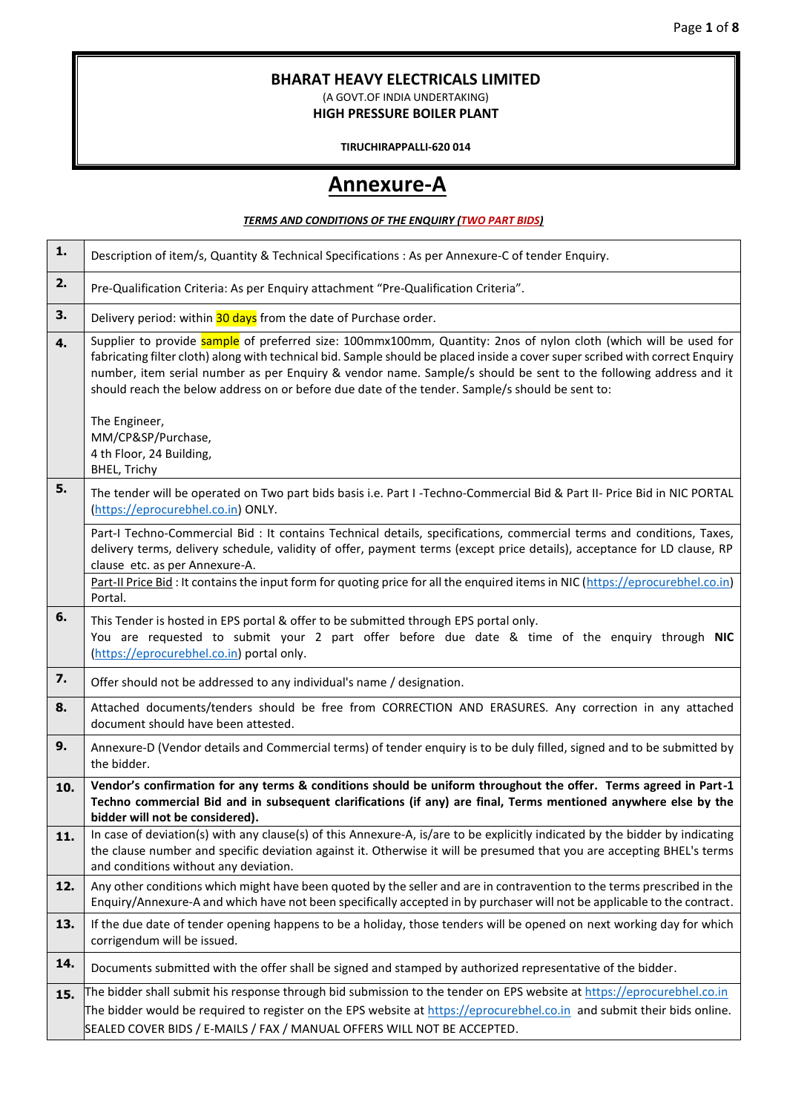## **BHARAT HEAVY ELECTRICALS LIMITED**

(A GOVT.OF INDIA UNDERTAKING) **HIGH PRESSURE BOILER PLANT**

**TIRUCHIRAPPALLI-620 014**

# **Annexure-A**

#### *TERMS AND CONDITIONS OF THE ENQUIRY (TWO PART BIDS)*

| 1.  | Description of item/s, Quantity & Technical Specifications : As per Annexure-C of tender Enquiry.                                                                                                                                                                                                                                                                                                                                                                        |
|-----|--------------------------------------------------------------------------------------------------------------------------------------------------------------------------------------------------------------------------------------------------------------------------------------------------------------------------------------------------------------------------------------------------------------------------------------------------------------------------|
| 2.  | Pre-Qualification Criteria: As per Enquiry attachment "Pre-Qualification Criteria".                                                                                                                                                                                                                                                                                                                                                                                      |
| 3.  | Delivery period: within 30 days from the date of Purchase order.                                                                                                                                                                                                                                                                                                                                                                                                         |
| 4.  | Supplier to provide sample of preferred size: 100mmx100mm, Quantity: 2nos of nylon cloth (which will be used for<br>fabricating filter cloth) along with technical bid. Sample should be placed inside a cover super scribed with correct Enquiry<br>number, item serial number as per Enquiry & vendor name. Sample/s should be sent to the following address and it<br>should reach the below address on or before due date of the tender. Sample/s should be sent to: |
|     | The Engineer,<br>MM/CP&SP/Purchase,<br>4 th Floor, 24 Building,<br><b>BHEL, Trichy</b>                                                                                                                                                                                                                                                                                                                                                                                   |
| 5.  | The tender will be operated on Two part bids basis i.e. Part I -Techno-Commercial Bid & Part II- Price Bid in NIC PORTAL<br>(https://eprocurebhel.co.in) ONLY.                                                                                                                                                                                                                                                                                                           |
|     | Part-I Techno-Commercial Bid : It contains Technical details, specifications, commercial terms and conditions, Taxes,<br>delivery terms, delivery schedule, validity of offer, payment terms (except price details), acceptance for LD clause, RP<br>clause etc. as per Annexure-A.<br>Part-II Price Bid: It contains the input form for quoting price for all the enquired items in NIC (https://eprocurebhel.co.in)                                                    |
|     | Portal.                                                                                                                                                                                                                                                                                                                                                                                                                                                                  |
| 6.  | This Tender is hosted in EPS portal & offer to be submitted through EPS portal only.<br>You are requested to submit your 2 part offer before due date & time of the enquiry through NIC<br>(https://eprocurebhel.co.in) portal only.                                                                                                                                                                                                                                     |
| 7.  | Offer should not be addressed to any individual's name / designation.                                                                                                                                                                                                                                                                                                                                                                                                    |
| 8.  | Attached documents/tenders should be free from CORRECTION AND ERASURES. Any correction in any attached<br>document should have been attested.                                                                                                                                                                                                                                                                                                                            |
| 9.  | Annexure-D (Vendor details and Commercial terms) of tender enquiry is to be duly filled, signed and to be submitted by<br>the bidder.                                                                                                                                                                                                                                                                                                                                    |
| 10. | Vendor's confirmation for any terms & conditions should be uniform throughout the offer. Terms agreed in Part-1<br>Techno commercial Bid and in subsequent clarifications (if any) are final, Terms mentioned anywhere else by the<br>bidder will not be considered).                                                                                                                                                                                                    |
| 11. | In case of deviation(s) with any clause(s) of this Annexure-A, is/are to be explicitly indicated by the bidder by indicating<br>the clause number and specific deviation against it. Otherwise it will be presumed that you are accepting BHEL's terms<br>and conditions without any deviation.                                                                                                                                                                          |
| 12. | Any other conditions which might have been quoted by the seller and are in contravention to the terms prescribed in the<br>Enquiry/Annexure-A and which have not been specifically accepted in by purchaser will not be applicable to the contract.                                                                                                                                                                                                                      |
| 13. | If the due date of tender opening happens to be a holiday, those tenders will be opened on next working day for which<br>corrigendum will be issued.                                                                                                                                                                                                                                                                                                                     |
| 14. | Documents submitted with the offer shall be signed and stamped by authorized representative of the bidder.                                                                                                                                                                                                                                                                                                                                                               |
| 15. | The bidder shall submit his response through bid submission to the tender on EPS website at https://eprocurebhel.co.in                                                                                                                                                                                                                                                                                                                                                   |
|     | The bidder would be required to register on the EPS website at https://eprocurebhel.co.in and submit their bids online.                                                                                                                                                                                                                                                                                                                                                  |
|     | SEALED COVER BIDS / E-MAILS / FAX / MANUAL OFFERS WILL NOT BE ACCEPTED.                                                                                                                                                                                                                                                                                                                                                                                                  |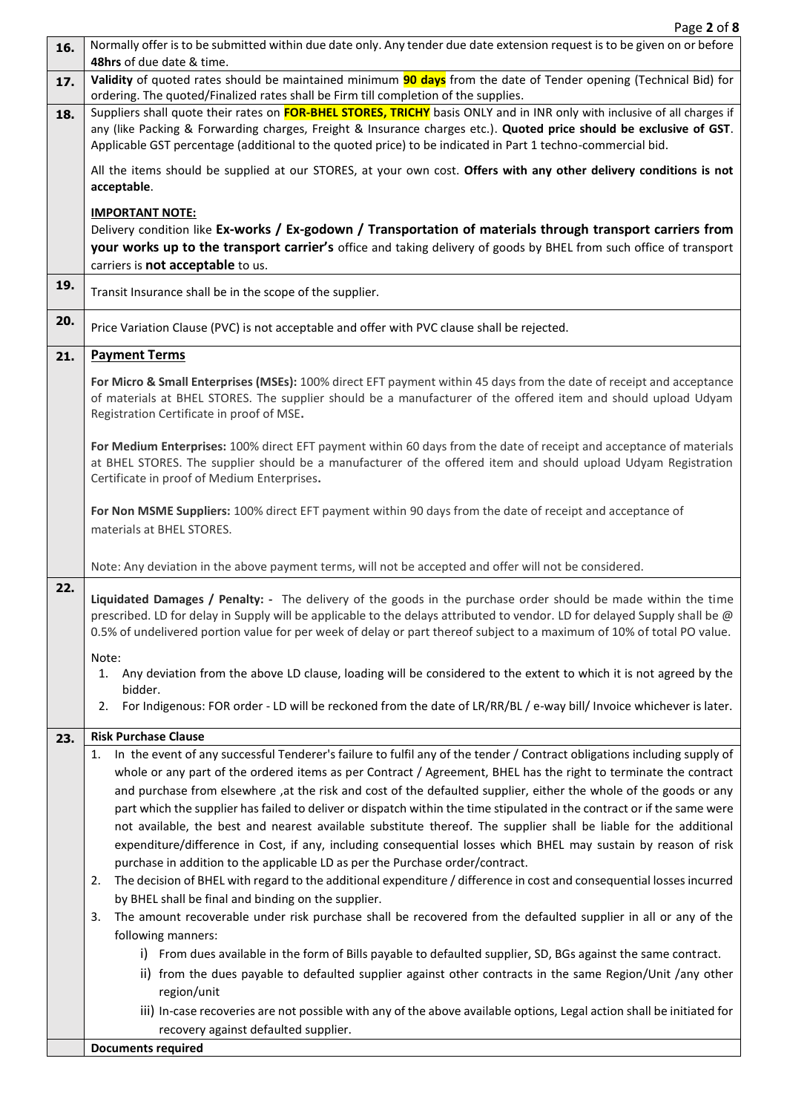| 48hrs of due date & time.<br>Validity of quoted rates should be maintained minimum 90 days from the date of Tender opening (Technical Bid) for<br>17.<br>ordering. The quoted/Finalized rates shall be Firm till completion of the supplies.<br>Suppliers shall quote their rates on FOR-BHEL STORES, TRICHY basis ONLY and in INR only with inclusive of all charges if<br>18.<br>any (like Packing & Forwarding charges, Freight & Insurance charges etc.). Quoted price should be exclusive of GST.<br>Applicable GST percentage (additional to the quoted price) to be indicated in Part 1 techno-commercial bid.<br>All the items should be supplied at our STORES, at your own cost. Offers with any other delivery conditions is not<br>acceptable.<br><b>IMPORTANT NOTE:</b><br>Delivery condition like Ex-works / Ex-godown / Transportation of materials through transport carriers from<br>your works up to the transport carrier's office and taking delivery of goods by BHEL from such office of transport<br>carriers is not acceptable to us.<br>19.<br>Transit Insurance shall be in the scope of the supplier. |  |
|----------------------------------------------------------------------------------------------------------------------------------------------------------------------------------------------------------------------------------------------------------------------------------------------------------------------------------------------------------------------------------------------------------------------------------------------------------------------------------------------------------------------------------------------------------------------------------------------------------------------------------------------------------------------------------------------------------------------------------------------------------------------------------------------------------------------------------------------------------------------------------------------------------------------------------------------------------------------------------------------------------------------------------------------------------------------------------------------------------------------------------|--|
|                                                                                                                                                                                                                                                                                                                                                                                                                                                                                                                                                                                                                                                                                                                                                                                                                                                                                                                                                                                                                                                                                                                                  |  |
|                                                                                                                                                                                                                                                                                                                                                                                                                                                                                                                                                                                                                                                                                                                                                                                                                                                                                                                                                                                                                                                                                                                                  |  |
|                                                                                                                                                                                                                                                                                                                                                                                                                                                                                                                                                                                                                                                                                                                                                                                                                                                                                                                                                                                                                                                                                                                                  |  |
|                                                                                                                                                                                                                                                                                                                                                                                                                                                                                                                                                                                                                                                                                                                                                                                                                                                                                                                                                                                                                                                                                                                                  |  |
|                                                                                                                                                                                                                                                                                                                                                                                                                                                                                                                                                                                                                                                                                                                                                                                                                                                                                                                                                                                                                                                                                                                                  |  |
|                                                                                                                                                                                                                                                                                                                                                                                                                                                                                                                                                                                                                                                                                                                                                                                                                                                                                                                                                                                                                                                                                                                                  |  |
|                                                                                                                                                                                                                                                                                                                                                                                                                                                                                                                                                                                                                                                                                                                                                                                                                                                                                                                                                                                                                                                                                                                                  |  |
|                                                                                                                                                                                                                                                                                                                                                                                                                                                                                                                                                                                                                                                                                                                                                                                                                                                                                                                                                                                                                                                                                                                                  |  |
|                                                                                                                                                                                                                                                                                                                                                                                                                                                                                                                                                                                                                                                                                                                                                                                                                                                                                                                                                                                                                                                                                                                                  |  |
| 20.<br>Price Variation Clause (PVC) is not acceptable and offer with PVC clause shall be rejected.                                                                                                                                                                                                                                                                                                                                                                                                                                                                                                                                                                                                                                                                                                                                                                                                                                                                                                                                                                                                                               |  |
| <b>Payment Terms</b><br>21.                                                                                                                                                                                                                                                                                                                                                                                                                                                                                                                                                                                                                                                                                                                                                                                                                                                                                                                                                                                                                                                                                                      |  |
| For Micro & Small Enterprises (MSEs): 100% direct EFT payment within 45 days from the date of receipt and acceptance<br>of materials at BHEL STORES. The supplier should be a manufacturer of the offered item and should upload Udyam<br>Registration Certificate in proof of MSE.                                                                                                                                                                                                                                                                                                                                                                                                                                                                                                                                                                                                                                                                                                                                                                                                                                              |  |
| For Medium Enterprises: 100% direct EFT payment within 60 days from the date of receipt and acceptance of materials<br>at BHEL STORES. The supplier should be a manufacturer of the offered item and should upload Udyam Registration<br>Certificate in proof of Medium Enterprises.                                                                                                                                                                                                                                                                                                                                                                                                                                                                                                                                                                                                                                                                                                                                                                                                                                             |  |
| For Non MSME Suppliers: 100% direct EFT payment within 90 days from the date of receipt and acceptance of<br>materials at BHEL STORES.                                                                                                                                                                                                                                                                                                                                                                                                                                                                                                                                                                                                                                                                                                                                                                                                                                                                                                                                                                                           |  |
| Note: Any deviation in the above payment terms, will not be accepted and offer will not be considered.                                                                                                                                                                                                                                                                                                                                                                                                                                                                                                                                                                                                                                                                                                                                                                                                                                                                                                                                                                                                                           |  |
| 22.<br>Liquidated Damages / Penalty: - The delivery of the goods in the purchase order should be made within the time<br>prescribed. LD for delay in Supply will be applicable to the delays attributed to vendor. LD for delayed Supply shall be @<br>0.5% of undelivered portion value for per week of delay or part thereof subject to a maximum of 10% of total PO value.<br>Note:                                                                                                                                                                                                                                                                                                                                                                                                                                                                                                                                                                                                                                                                                                                                           |  |
| Any deviation from the above LD clause, loading will be considered to the extent to which it is not agreed by the<br>1.<br>bidder.                                                                                                                                                                                                                                                                                                                                                                                                                                                                                                                                                                                                                                                                                                                                                                                                                                                                                                                                                                                               |  |
| For Indigenous: FOR order - LD will be reckoned from the date of LR/RR/BL/e-way bill/ Invoice whichever is later.<br>2.                                                                                                                                                                                                                                                                                                                                                                                                                                                                                                                                                                                                                                                                                                                                                                                                                                                                                                                                                                                                          |  |
| <b>Risk Purchase Clause</b><br>23.                                                                                                                                                                                                                                                                                                                                                                                                                                                                                                                                                                                                                                                                                                                                                                                                                                                                                                                                                                                                                                                                                               |  |
| In the event of any successful Tenderer's failure to fulfil any of the tender / Contract obligations including supply of<br>1.                                                                                                                                                                                                                                                                                                                                                                                                                                                                                                                                                                                                                                                                                                                                                                                                                                                                                                                                                                                                   |  |
| whole or any part of the ordered items as per Contract / Agreement, BHEL has the right to terminate the contract                                                                                                                                                                                                                                                                                                                                                                                                                                                                                                                                                                                                                                                                                                                                                                                                                                                                                                                                                                                                                 |  |
| and purchase from elsewhere , at the risk and cost of the defaulted supplier, either the whole of the goods or any                                                                                                                                                                                                                                                                                                                                                                                                                                                                                                                                                                                                                                                                                                                                                                                                                                                                                                                                                                                                               |  |
| part which the supplier has failed to deliver or dispatch within the time stipulated in the contract or if the same were<br>not available, the best and nearest available substitute thereof. The supplier shall be liable for the additional                                                                                                                                                                                                                                                                                                                                                                                                                                                                                                                                                                                                                                                                                                                                                                                                                                                                                    |  |
| expenditure/difference in Cost, if any, including consequential losses which BHEL may sustain by reason of risk                                                                                                                                                                                                                                                                                                                                                                                                                                                                                                                                                                                                                                                                                                                                                                                                                                                                                                                                                                                                                  |  |
| purchase in addition to the applicable LD as per the Purchase order/contract.                                                                                                                                                                                                                                                                                                                                                                                                                                                                                                                                                                                                                                                                                                                                                                                                                                                                                                                                                                                                                                                    |  |
| The decision of BHEL with regard to the additional expenditure / difference in cost and consequential losses incurred<br>2.                                                                                                                                                                                                                                                                                                                                                                                                                                                                                                                                                                                                                                                                                                                                                                                                                                                                                                                                                                                                      |  |
| by BHEL shall be final and binding on the supplier.                                                                                                                                                                                                                                                                                                                                                                                                                                                                                                                                                                                                                                                                                                                                                                                                                                                                                                                                                                                                                                                                              |  |
| The amount recoverable under risk purchase shall be recovered from the defaulted supplier in all or any of the<br>3.                                                                                                                                                                                                                                                                                                                                                                                                                                                                                                                                                                                                                                                                                                                                                                                                                                                                                                                                                                                                             |  |
| following manners:                                                                                                                                                                                                                                                                                                                                                                                                                                                                                                                                                                                                                                                                                                                                                                                                                                                                                                                                                                                                                                                                                                               |  |
| From dues available in the form of Bills payable to defaulted supplier, SD, BGs against the same contract.<br>i).                                                                                                                                                                                                                                                                                                                                                                                                                                                                                                                                                                                                                                                                                                                                                                                                                                                                                                                                                                                                                |  |
| ii) from the dues payable to defaulted supplier against other contracts in the same Region/Unit /any other                                                                                                                                                                                                                                                                                                                                                                                                                                                                                                                                                                                                                                                                                                                                                                                                                                                                                                                                                                                                                       |  |
| region/unit                                                                                                                                                                                                                                                                                                                                                                                                                                                                                                                                                                                                                                                                                                                                                                                                                                                                                                                                                                                                                                                                                                                      |  |
| iii) In-case recoveries are not possible with any of the above available options, Legal action shall be initiated for<br>recovery against defaulted supplier.                                                                                                                                                                                                                                                                                                                                                                                                                                                                                                                                                                                                                                                                                                                                                                                                                                                                                                                                                                    |  |
| <b>Documents required</b>                                                                                                                                                                                                                                                                                                                                                                                                                                                                                                                                                                                                                                                                                                                                                                                                                                                                                                                                                                                                                                                                                                        |  |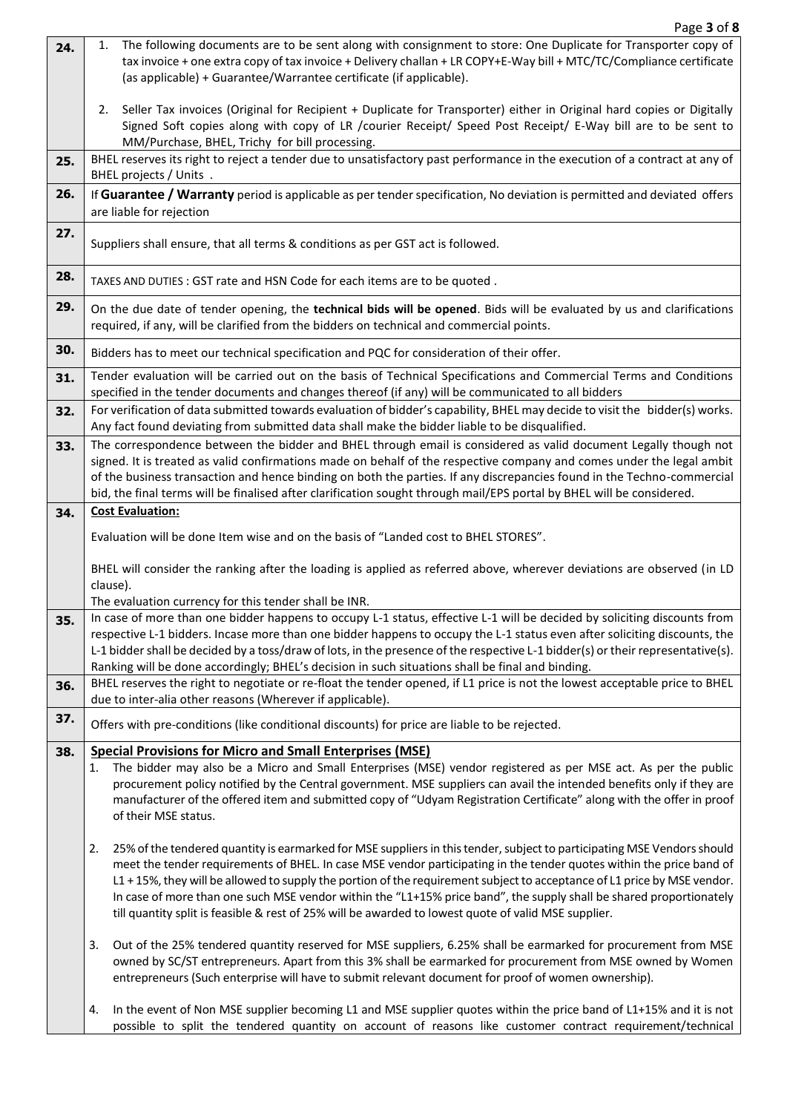| 24. | The following documents are to be sent along with consignment to store: One Duplicate for Transporter copy of<br>1.<br>tax invoice + one extra copy of tax invoice + Delivery challan + LR COPY+E-Way bill + MTC/TC/Compliance certificate                                                  |
|-----|---------------------------------------------------------------------------------------------------------------------------------------------------------------------------------------------------------------------------------------------------------------------------------------------|
|     | (as applicable) + Guarantee/Warrantee certificate (if applicable).                                                                                                                                                                                                                          |
|     | Seller Tax invoices (Original for Recipient + Duplicate for Transporter) either in Original hard copies or Digitally<br>2.<br>Signed Soft copies along with copy of LR /courier Receipt/ Speed Post Receipt/ E-Way bill are to be sent to<br>MM/Purchase, BHEL, Trichy for bill processing. |
| 25. | BHEL reserves its right to reject a tender due to unsatisfactory past performance in the execution of a contract at any of<br>BHEL projects / Units .                                                                                                                                       |
| 26. | If Guarantee / Warranty period is applicable as per tender specification, No deviation is permitted and deviated offers<br>are liable for rejection                                                                                                                                         |
| 27. | Suppliers shall ensure, that all terms & conditions as per GST act is followed.                                                                                                                                                                                                             |
| 28. | TAXES AND DUTIES : GST rate and HSN Code for each items are to be quoted.                                                                                                                                                                                                                   |
| 29. | On the due date of tender opening, the technical bids will be opened. Bids will be evaluated by us and clarifications<br>required, if any, will be clarified from the bidders on technical and commercial points.                                                                           |
| 30. | Bidders has to meet our technical specification and PQC for consideration of their offer.                                                                                                                                                                                                   |
| 31. | Tender evaluation will be carried out on the basis of Technical Specifications and Commercial Terms and Conditions<br>specified in the tender documents and changes thereof (if any) will be communicated to all bidders                                                                    |
| 32. | For verification of data submitted towards evaluation of bidder's capability, BHEL may decide to visit the bidder(s) works.<br>Any fact found deviating from submitted data shall make the bidder liable to be disqualified.                                                                |
| 33. | The correspondence between the bidder and BHEL through email is considered as valid document Legally though not                                                                                                                                                                             |
|     | signed. It is treated as valid confirmations made on behalf of the respective company and comes under the legal ambit                                                                                                                                                                       |
|     | of the business transaction and hence binding on both the parties. If any discrepancies found in the Techno-commercial<br>bid, the final terms will be finalised after clarification sought through mail/EPS portal by BHEL will be considered.                                             |
| 34. | <b>Cost Evaluation:</b>                                                                                                                                                                                                                                                                     |
|     | Evaluation will be done Item wise and on the basis of "Landed cost to BHEL STORES".                                                                                                                                                                                                         |
|     | BHEL will consider the ranking after the loading is applied as referred above, wherever deviations are observed (in LD                                                                                                                                                                      |
|     | clause).<br>The evaluation currency for this tender shall be INR.                                                                                                                                                                                                                           |
| 35. | In case of more than one bidder happens to occupy L-1 status, effective L-1 will be decided by soliciting discounts from                                                                                                                                                                    |
|     | respective L-1 bidders. Incase more than one bidder happens to occupy the L-1 status even after soliciting discounts, the<br>L-1 bidder shall be decided by a toss/draw of lots, in the presence of the respective L-1 bidder(s) or their representative(s).                                |
|     | Ranking will be done accordingly; BHEL's decision in such situations shall be final and binding.                                                                                                                                                                                            |
| 36. | BHEL reserves the right to negotiate or re-float the tender opened, if L1 price is not the lowest acceptable price to BHEL<br>due to inter-alia other reasons (Wherever if applicable).                                                                                                     |
| 37. | Offers with pre-conditions (like conditional discounts) for price are liable to be rejected.                                                                                                                                                                                                |
|     |                                                                                                                                                                                                                                                                                             |
| 38. | <b>Special Provisions for Micro and Small Enterprises (MSE)</b><br>The bidder may also be a Micro and Small Enterprises (MSE) vendor registered as per MSE act. As per the public<br>1.                                                                                                     |
|     | procurement policy notified by the Central government. MSE suppliers can avail the intended benefits only if they are                                                                                                                                                                       |
|     | manufacturer of the offered item and submitted copy of "Udyam Registration Certificate" along with the offer in proof<br>of their MSE status.                                                                                                                                               |
|     | 25% of the tendered quantity is earmarked for MSE suppliers in this tender, subject to participating MSE Vendors should<br>2.                                                                                                                                                               |
|     | meet the tender requirements of BHEL. In case MSE vendor participating in the tender quotes within the price band of                                                                                                                                                                        |
|     | L1 + 15%, they will be allowed to supply the portion of the requirement subject to acceptance of L1 price by MSE vendor.                                                                                                                                                                    |
|     | In case of more than one such MSE vendor within the "L1+15% price band", the supply shall be shared proportionately<br>till quantity split is feasible & rest of 25% will be awarded to lowest quote of valid MSE supplier.                                                                 |
|     | Out of the 25% tendered quantity reserved for MSE suppliers, 6.25% shall be earmarked for procurement from MSE<br>3.                                                                                                                                                                        |
|     | owned by SC/ST entrepreneurs. Apart from this 3% shall be earmarked for procurement from MSE owned by Women<br>entrepreneurs (Such enterprise will have to submit relevant document for proof of women ownership).                                                                          |
|     | In the event of Non MSE supplier becoming L1 and MSE supplier quotes within the price band of L1+15% and it is not<br>4.<br>possible to split the tendered quantity on account of reasons like customer contract requirement/technical                                                      |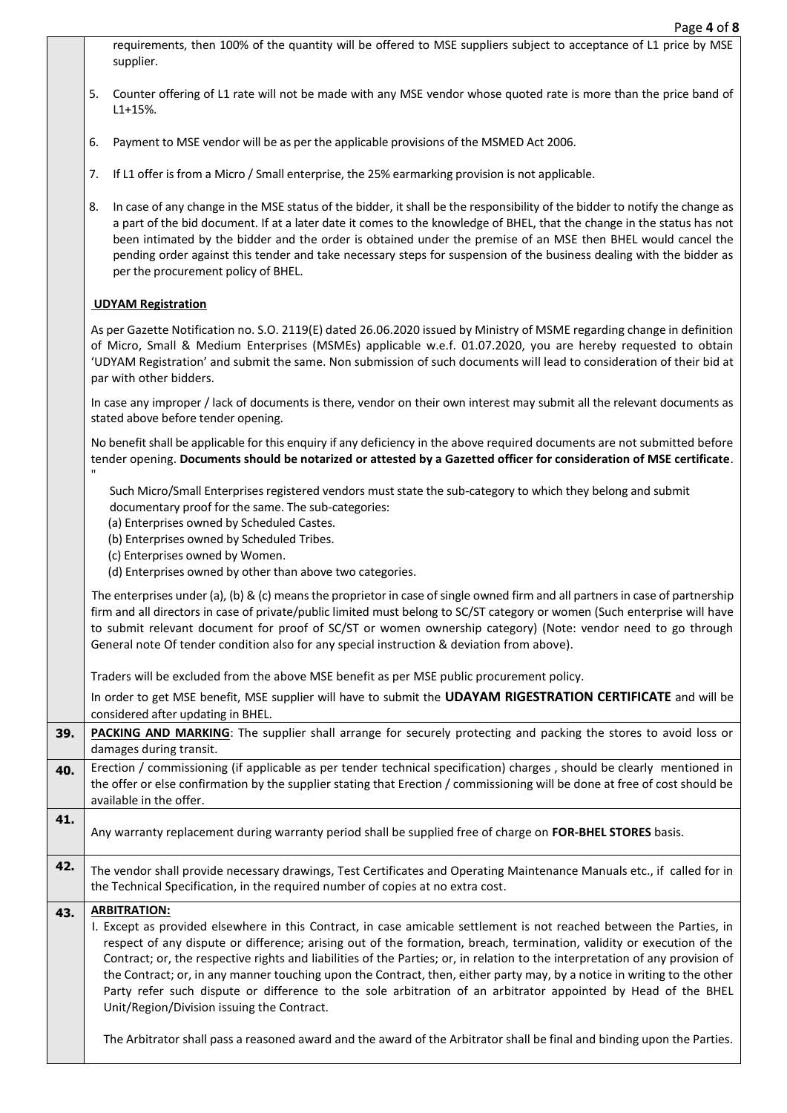- requirements, then 100% of the quantity will be offered to MSE suppliers subject to acceptance of L1 price by MSE supplier.
- 5. Counter offering of L1 rate will not be made with any MSE vendor whose quoted rate is more than the price band of  $11+15%$
- 6. Payment to MSE vendor will be as per the applicable provisions of the MSMED Act 2006.
- 7. If L1 offer is from a Micro / Small enterprise, the 25% earmarking provision is not applicable.
- 8. In case of any change in the MSE status of the bidder, it shall be the responsibility of the bidder to notify the change as a part of the bid document. If at a later date it comes to the knowledge of BHEL, that the change in the status has not been intimated by the bidder and the order is obtained under the premise of an MSE then BHEL would cancel the pending order against this tender and take necessary steps for suspension of the business dealing with the bidder as per the procurement policy of BHEL.

#### **UDYAM Registration**

"

As per Gazette Notification no. S.O. 2119(E) dated 26.06.2020 issued by Ministry of MSME regarding change in definition of Micro, Small & Medium Enterprises (MSMEs) applicable w.e.f. 01.07.2020, you are hereby requested to obtain 'UDYAM Registration' and submit the same. Non submission of such documents will lead to consideration of their bid at par with other bidders.

In case any improper / lack of documents is there, vendor on their own interest may submit all the relevant documents as stated above before tender opening.

No benefit shall be applicable for this enquiry if any deficiency in the above required documents are not submitted before tender opening. **Documents should be notarized or attested by a Gazetted officer for consideration of MSE certificate**.

Such Micro/Small Enterprises registered vendors must state the sub-category to which they belong and submit documentary proof for the same. The sub-categories:

- (a) Enterprises owned by Scheduled Castes.
- (b) Enterprises owned by Scheduled Tribes.
- (c) Enterprises owned by Women.
- (d) Enterprises owned by other than above two categories.

The enterprises under (a), (b) & (c) means the proprietor in case of single owned firm and all partners in case of partnership firm and all directors in case of private/public limited must belong to SC/ST category or women (Such enterprise will have to submit relevant document for proof of SC/ST or women ownership category) (Note: vendor need to go through General note Of tender condition also for any special instruction & deviation from above).

Traders will be excluded from the above MSE benefit as per MSE public procurement policy.

In order to get MSE benefit, MSE supplier will have to submit the **UDAYAM RIGESTRATION CERTIFICATE** and will be considered after updating in BHEL.

**39. PACKING AND MARKING**: The supplier shall arrange for securely protecting and packing the stores to avoid loss or damages during transit.

**40.** Erection / commissioning (if applicable as per tender technical specification) charges, should be clearly mentioned in the offer or else confirmation by the supplier stating that Erection / commissioning will be done at free of cost should be available in the offer.

- **41.**
	- Any warranty replacement during warranty period shall be supplied free of charge on **FOR-BHEL STORES** basis.

**42.** The vendor shall provide necessary drawings, Test Certificates and Operating Maintenance Manuals etc., if called for in the Technical Specification, in the required number of copies at no extra cost.

### **43. ARBITRATION:**

I. Except as provided elsewhere in this Contract, in case amicable settlement is not reached between the Parties, in respect of any dispute or difference; arising out of the formation, breach, termination, validity or execution of the Contract; or, the respective rights and liabilities of the Parties; or, in relation to the interpretation of any provision of the Contract; or, in any manner touching upon the Contract, then, either party may, by a notice in writing to the other Party refer such dispute or difference to the sole arbitration of an arbitrator appointed by Head of the BHEL Unit/Region/Division issuing the Contract.

The Arbitrator shall pass a reasoned award and the award of the Arbitrator shall be final and binding upon the Parties.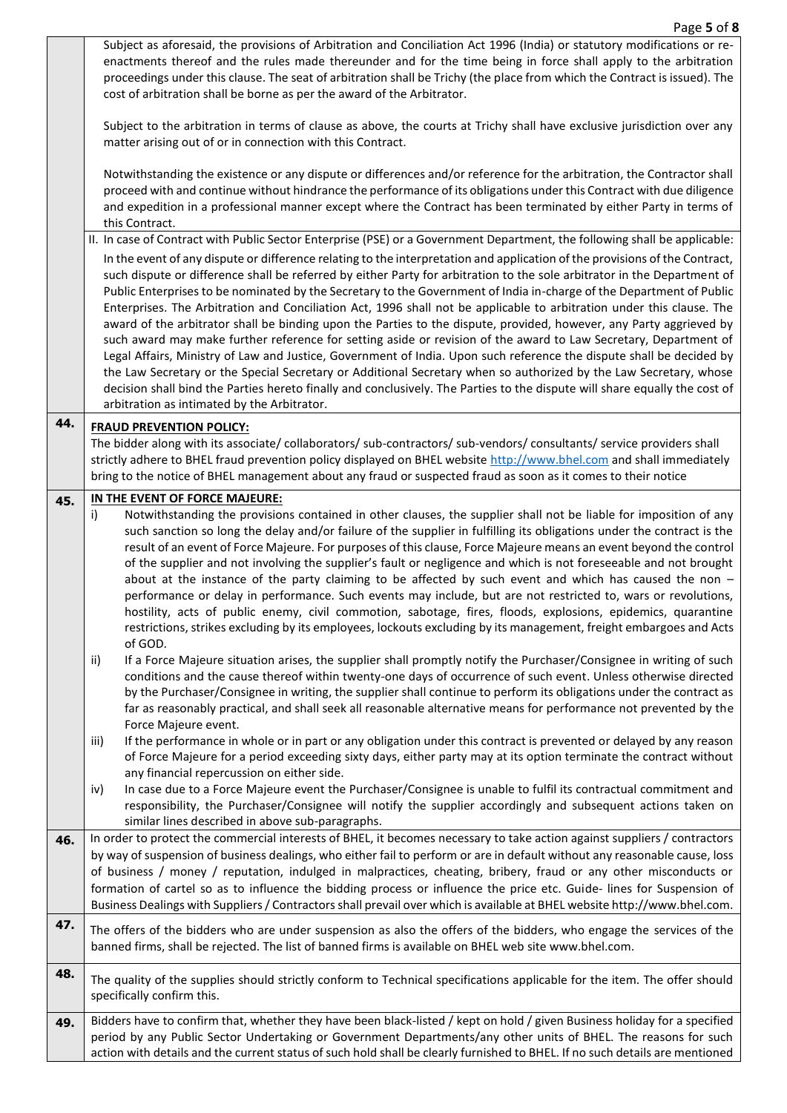|     | Subject as aforesaid, the provisions of Arbitration and Conciliation Act 1996 (India) or statutory modifications or re-<br>enactments thereof and the rules made thereunder and for the time being in force shall apply to the arbitration<br>proceedings under this clause. The seat of arbitration shall be Trichy (the place from which the Contract is issued). The<br>cost of arbitration shall be borne as per the award of the Arbitrator.                                                                                                                                                                                                                                                                                                                                                                                                                                                                                                                                                                                                                                                                                                                                                                                                                                                           |
|-----|-------------------------------------------------------------------------------------------------------------------------------------------------------------------------------------------------------------------------------------------------------------------------------------------------------------------------------------------------------------------------------------------------------------------------------------------------------------------------------------------------------------------------------------------------------------------------------------------------------------------------------------------------------------------------------------------------------------------------------------------------------------------------------------------------------------------------------------------------------------------------------------------------------------------------------------------------------------------------------------------------------------------------------------------------------------------------------------------------------------------------------------------------------------------------------------------------------------------------------------------------------------------------------------------------------------|
|     | Subject to the arbitration in terms of clause as above, the courts at Trichy shall have exclusive jurisdiction over any<br>matter arising out of or in connection with this Contract.                                                                                                                                                                                                                                                                                                                                                                                                                                                                                                                                                                                                                                                                                                                                                                                                                                                                                                                                                                                                                                                                                                                       |
|     | Notwithstanding the existence or any dispute or differences and/or reference for the arbitration, the Contractor shall<br>proceed with and continue without hindrance the performance of its obligations under this Contract with due diligence<br>and expedition in a professional manner except where the Contract has been terminated by either Party in terms of<br>this Contract.                                                                                                                                                                                                                                                                                                                                                                                                                                                                                                                                                                                                                                                                                                                                                                                                                                                                                                                      |
|     | II. In case of Contract with Public Sector Enterprise (PSE) or a Government Department, the following shall be applicable:<br>In the event of any dispute or difference relating to the interpretation and application of the provisions of the Contract,<br>such dispute or difference shall be referred by either Party for arbitration to the sole arbitrator in the Department of<br>Public Enterprises to be nominated by the Secretary to the Government of India in-charge of the Department of Public<br>Enterprises. The Arbitration and Conciliation Act, 1996 shall not be applicable to arbitration under this clause. The<br>award of the arbitrator shall be binding upon the Parties to the dispute, provided, however, any Party aggrieved by<br>such award may make further reference for setting aside or revision of the award to Law Secretary, Department of<br>Legal Affairs, Ministry of Law and Justice, Government of India. Upon such reference the dispute shall be decided by<br>the Law Secretary or the Special Secretary or Additional Secretary when so authorized by the Law Secretary, whose<br>decision shall bind the Parties hereto finally and conclusively. The Parties to the dispute will share equally the cost of<br>arbitration as intimated by the Arbitrator. |
| 44. | <b>FRAUD PREVENTION POLICY:</b>                                                                                                                                                                                                                                                                                                                                                                                                                                                                                                                                                                                                                                                                                                                                                                                                                                                                                                                                                                                                                                                                                                                                                                                                                                                                             |
|     | The bidder along with its associate/collaborators/sub-contractors/sub-vendors/consultants/service providers shall<br>strictly adhere to BHEL fraud prevention policy displayed on BHEL website http://www.bhel.com and shall immediately<br>bring to the notice of BHEL management about any fraud or suspected fraud as soon as it comes to their notice                                                                                                                                                                                                                                                                                                                                                                                                                                                                                                                                                                                                                                                                                                                                                                                                                                                                                                                                                   |
| 45. | IN THE EVENT OF FORCE MAJEURE:                                                                                                                                                                                                                                                                                                                                                                                                                                                                                                                                                                                                                                                                                                                                                                                                                                                                                                                                                                                                                                                                                                                                                                                                                                                                              |
|     | i)<br>Notwithstanding the provisions contained in other clauses, the supplier shall not be liable for imposition of any<br>such sanction so long the delay and/or failure of the supplier in fulfilling its obligations under the contract is the<br>result of an event of Force Majeure. For purposes of this clause, Force Majeure means an event beyond the control<br>of the supplier and not involving the supplier's fault or negligence and which is not foreseeable and not brought<br>about at the instance of the party claiming to be affected by such event and which has caused the non -<br>performance or delay in performance. Such events may include, but are not restricted to, wars or revolutions,<br>hostility, acts of public enemy, civil commotion, sabotage, fires, floods, explosions, epidemics, quarantine<br>restrictions, strikes excluding by its employees, lockouts excluding by its management, freight embargoes and Acts<br>of GOD.                                                                                                                                                                                                                                                                                                                                    |
|     | If a Force Majeure situation arises, the supplier shall promptly notify the Purchaser/Consignee in writing of such<br>ii)<br>conditions and the cause thereof within twenty-one days of occurrence of such event. Unless otherwise directed<br>by the Purchaser/Consignee in writing, the supplier shall continue to perform its obligations under the contract as<br>far as reasonably practical, and shall seek all reasonable alternative means for performance not prevented by the<br>Force Majeure event.                                                                                                                                                                                                                                                                                                                                                                                                                                                                                                                                                                                                                                                                                                                                                                                             |
|     | If the performance in whole or in part or any obligation under this contract is prevented or delayed by any reason<br>iii)<br>of Force Majeure for a period exceeding sixty days, either party may at its option terminate the contract without<br>any financial repercussion on either side.                                                                                                                                                                                                                                                                                                                                                                                                                                                                                                                                                                                                                                                                                                                                                                                                                                                                                                                                                                                                               |
|     | In case due to a Force Majeure event the Purchaser/Consignee is unable to fulfil its contractual commitment and<br>iv)<br>responsibility, the Purchaser/Consignee will notify the supplier accordingly and subsequent actions taken on<br>similar lines described in above sub-paragraphs.                                                                                                                                                                                                                                                                                                                                                                                                                                                                                                                                                                                                                                                                                                                                                                                                                                                                                                                                                                                                                  |
| 46. | In order to protect the commercial interests of BHEL, it becomes necessary to take action against suppliers / contractors<br>by way of suspension of business dealings, who either fail to perform or are in default without any reasonable cause, loss<br>of business / money / reputation, indulged in malpractices, cheating, bribery, fraud or any other misconducts or<br>formation of cartel so as to influence the bidding process or influence the price etc. Guide- lines for Suspension of<br>Business Dealings with Suppliers / Contractors shall prevail over which is available at BHEL website http://www.bhel.com.                                                                                                                                                                                                                                                                                                                                                                                                                                                                                                                                                                                                                                                                           |
| 47. | The offers of the bidders who are under suspension as also the offers of the bidders, who engage the services of the<br>banned firms, shall be rejected. The list of banned firms is available on BHEL web site www.bhel.com.                                                                                                                                                                                                                                                                                                                                                                                                                                                                                                                                                                                                                                                                                                                                                                                                                                                                                                                                                                                                                                                                               |
| 48. | The quality of the supplies should strictly conform to Technical specifications applicable for the item. The offer should<br>specifically confirm this.                                                                                                                                                                                                                                                                                                                                                                                                                                                                                                                                                                                                                                                                                                                                                                                                                                                                                                                                                                                                                                                                                                                                                     |
| 49. | Bidders have to confirm that, whether they have been black-listed / kept on hold / given Business holiday for a specified<br>period by any Public Sector Undertaking or Government Departments/any other units of BHEL. The reasons for such<br>action with details and the current status of such hold shall be clearly furnished to BHEL. If no such details are mentioned                                                                                                                                                                                                                                                                                                                                                                                                                                                                                                                                                                                                                                                                                                                                                                                                                                                                                                                                |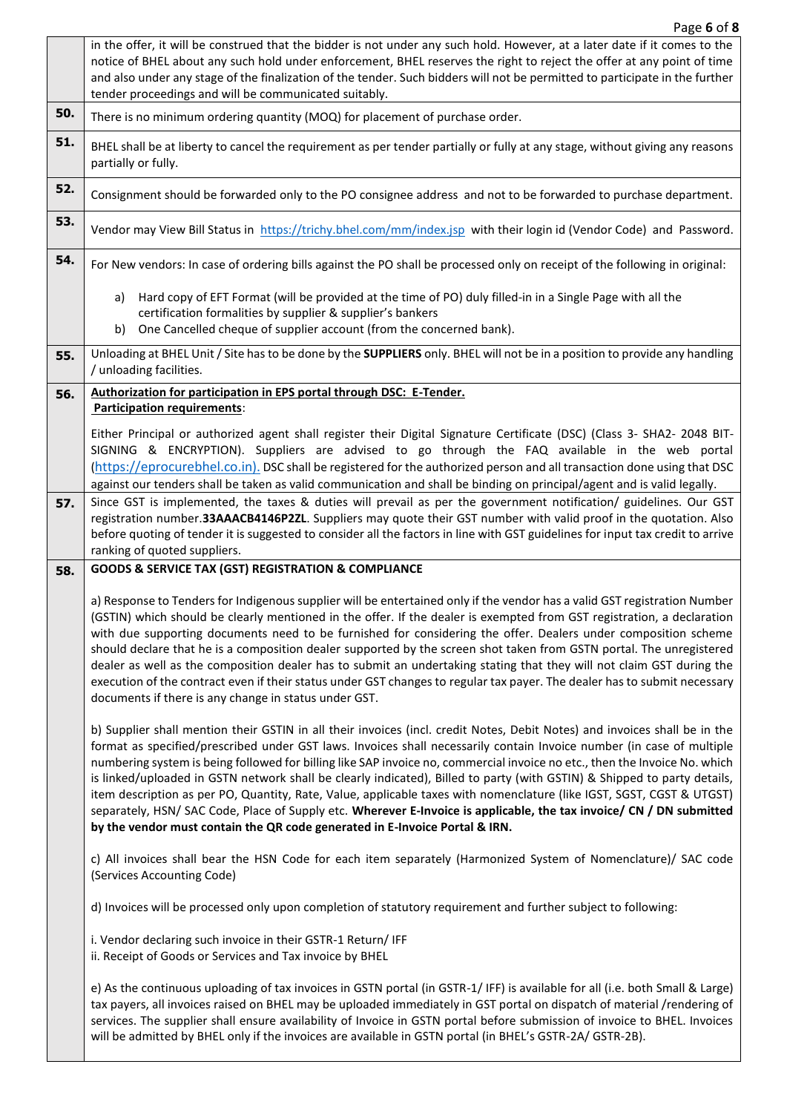Page **6** of **8**

|     | in the offer, it will be construed that the bidder is not under any such hold. However, at a later date if it comes to the<br>notice of BHEL about any such hold under enforcement, BHEL reserves the right to reject the offer at any point of time<br>and also under any stage of the finalization of the tender. Such bidders will not be permitted to participate in the further<br>tender proceedings and will be communicated suitably.                                                                                                                                                                                                                                                                                                                                                                                               |
|-----|---------------------------------------------------------------------------------------------------------------------------------------------------------------------------------------------------------------------------------------------------------------------------------------------------------------------------------------------------------------------------------------------------------------------------------------------------------------------------------------------------------------------------------------------------------------------------------------------------------------------------------------------------------------------------------------------------------------------------------------------------------------------------------------------------------------------------------------------|
| 50. | There is no minimum ordering quantity (MOQ) for placement of purchase order.                                                                                                                                                                                                                                                                                                                                                                                                                                                                                                                                                                                                                                                                                                                                                                |
| 51. | BHEL shall be at liberty to cancel the requirement as per tender partially or fully at any stage, without giving any reasons<br>partially or fully.                                                                                                                                                                                                                                                                                                                                                                                                                                                                                                                                                                                                                                                                                         |
| 52. | Consignment should be forwarded only to the PO consignee address and not to be forwarded to purchase department.                                                                                                                                                                                                                                                                                                                                                                                                                                                                                                                                                                                                                                                                                                                            |
| 53. | Vendor may View Bill Status in https://trichy.bhel.com/mm/index.jsp with their login id (Vendor Code) and Password.                                                                                                                                                                                                                                                                                                                                                                                                                                                                                                                                                                                                                                                                                                                         |
| 54. | For New vendors: In case of ordering bills against the PO shall be processed only on receipt of the following in original:                                                                                                                                                                                                                                                                                                                                                                                                                                                                                                                                                                                                                                                                                                                  |
|     | Hard copy of EFT Format (will be provided at the time of PO) duly filled-in in a Single Page with all the<br>a)<br>certification formalities by supplier & supplier's bankers<br>One Cancelled cheque of supplier account (from the concerned bank).<br>b)                                                                                                                                                                                                                                                                                                                                                                                                                                                                                                                                                                                  |
| 55. | Unloading at BHEL Unit / Site has to be done by the SUPPLIERS only. BHEL will not be in a position to provide any handling<br>/ unloading facilities.                                                                                                                                                                                                                                                                                                                                                                                                                                                                                                                                                                                                                                                                                       |
| 56. | Authorization for participation in EPS portal through DSC: E-Tender.<br><b>Participation requirements:</b>                                                                                                                                                                                                                                                                                                                                                                                                                                                                                                                                                                                                                                                                                                                                  |
|     | Either Principal or authorized agent shall register their Digital Signature Certificate (DSC) (Class 3- SHA2- 2048 BIT-<br>SIGNING & ENCRYPTION). Suppliers are advised to go through the FAQ available in the web portal<br>(https://eprocurebhel.co.in). DSC shall be registered for the authorized person and all transaction done using that DSC<br>against our tenders shall be taken as valid communication and shall be binding on principal/agent and is valid legally.                                                                                                                                                                                                                                                                                                                                                             |
| 57. | Since GST is implemented, the taxes & duties will prevail as per the government notification/ guidelines. Our GST<br>registration number.33AAACB4146P2ZL. Suppliers may quote their GST number with valid proof in the quotation. Also<br>before quoting of tender it is suggested to consider all the factors in line with GST guidelines for input tax credit to arrive<br>ranking of quoted suppliers.                                                                                                                                                                                                                                                                                                                                                                                                                                   |
| 58. | <b>GOODS &amp; SERVICE TAX (GST) REGISTRATION &amp; COMPLIANCE</b>                                                                                                                                                                                                                                                                                                                                                                                                                                                                                                                                                                                                                                                                                                                                                                          |
|     | a) Response to Tenders for Indigenous supplier will be entertained only if the vendor has a valid GST registration Number<br>(GSTIN) which should be clearly mentioned in the offer. If the dealer is exempted from GST registration, a declaration<br>with due supporting documents need to be furnished for considering the offer. Dealers under composition scheme<br>should declare that he is a composition dealer supported by the screen shot taken from GSTN portal. The unregistered<br>dealer as well as the composition dealer has to submit an undertaking stating that they will not claim GST during the<br>execution of the contract even if their status under GST changes to regular tax payer. The dealer has to submit necessary<br>documents if there is any change in status under GST.                                |
|     | b) Supplier shall mention their GSTIN in all their invoices (incl. credit Notes, Debit Notes) and invoices shall be in the<br>format as specified/prescribed under GST laws. Invoices shall necessarily contain Invoice number (in case of multiple<br>numbering system is being followed for billing like SAP invoice no, commercial invoice no etc., then the Invoice No. which<br>is linked/uploaded in GSTN network shall be clearly indicated), Billed to party (with GSTIN) & Shipped to party details,<br>item description as per PO, Quantity, Rate, Value, applicable taxes with nomenclature (like IGST, SGST, CGST & UTGST)<br>separately, HSN/SAC Code, Place of Supply etc. Wherever E-Invoice is applicable, the tax invoice/CN / DN submitted<br>by the vendor must contain the QR code generated in E-Invoice Portal & IRN. |
|     | c) All invoices shall bear the HSN Code for each item separately (Harmonized System of Nomenclature)/ SAC code<br>(Services Accounting Code)                                                                                                                                                                                                                                                                                                                                                                                                                                                                                                                                                                                                                                                                                                |
|     | d) Invoices will be processed only upon completion of statutory requirement and further subject to following:                                                                                                                                                                                                                                                                                                                                                                                                                                                                                                                                                                                                                                                                                                                               |
|     | i. Vendor declaring such invoice in their GSTR-1 Return/ IFF<br>ii. Receipt of Goods or Services and Tax invoice by BHEL                                                                                                                                                                                                                                                                                                                                                                                                                                                                                                                                                                                                                                                                                                                    |
|     | e) As the continuous uploading of tax invoices in GSTN portal (in GSTR-1/IFF) is available for all (i.e. both Small & Large)<br>tax payers, all invoices raised on BHEL may be uploaded immediately in GST portal on dispatch of material /rendering of<br>services. The supplier shall ensure availability of Invoice in GSTN portal before submission of invoice to BHEL. Invoices<br>will be admitted by BHEL only if the invoices are available in GSTN portal (in BHEL's GSTR-2A/ GSTR-2B).                                                                                                                                                                                                                                                                                                                                            |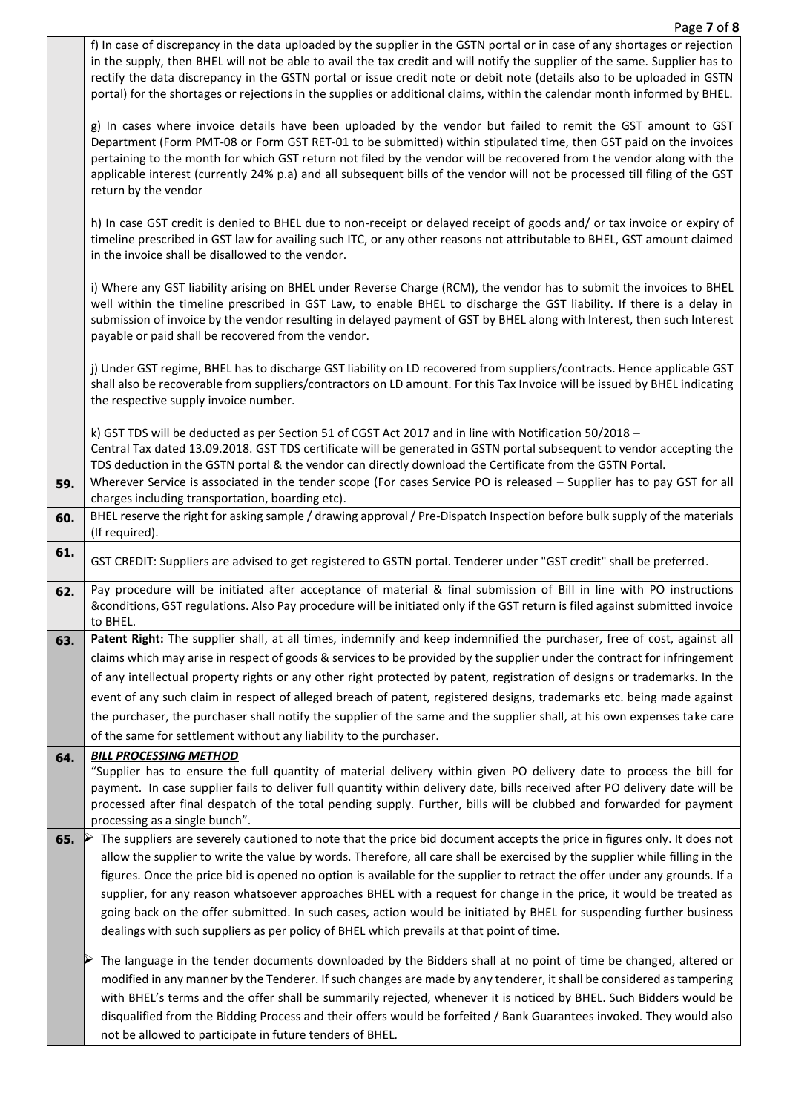|     | f) In case of discrepancy in the data uploaded by the supplier in the GSTN portal or in case of any shortages or rejection<br>in the supply, then BHEL will not be able to avail the tax credit and will notify the supplier of the same. Supplier has to<br>rectify the data discrepancy in the GSTN portal or issue credit note or debit note (details also to be uploaded in GSTN<br>portal) for the shortages or rejections in the supplies or additional claims, within the calendar month informed by BHEL. |
|-----|-------------------------------------------------------------------------------------------------------------------------------------------------------------------------------------------------------------------------------------------------------------------------------------------------------------------------------------------------------------------------------------------------------------------------------------------------------------------------------------------------------------------|
|     | g) In cases where invoice details have been uploaded by the vendor but failed to remit the GST amount to GST<br>Department (Form PMT-08 or Form GST RET-01 to be submitted) within stipulated time, then GST paid on the invoices<br>pertaining to the month for which GST return not filed by the vendor will be recovered from the vendor along with the<br>applicable interest (currently 24% p.a) and all subsequent bills of the vendor will not be processed till filing of the GST<br>return by the vendor |
|     | h) In case GST credit is denied to BHEL due to non-receipt or delayed receipt of goods and/ or tax invoice or expiry of<br>timeline prescribed in GST law for availing such ITC, or any other reasons not attributable to BHEL, GST amount claimed<br>in the invoice shall be disallowed to the vendor.                                                                                                                                                                                                           |
|     | i) Where any GST liability arising on BHEL under Reverse Charge (RCM), the vendor has to submit the invoices to BHEL<br>well within the timeline prescribed in GST Law, to enable BHEL to discharge the GST liability. If there is a delay in<br>submission of invoice by the vendor resulting in delayed payment of GST by BHEL along with Interest, then such Interest<br>payable or paid shall be recovered from the vendor.                                                                                   |
|     | j) Under GST regime, BHEL has to discharge GST liability on LD recovered from suppliers/contracts. Hence applicable GST<br>shall also be recoverable from suppliers/contractors on LD amount. For this Tax Invoice will be issued by BHEL indicating<br>the respective supply invoice number.                                                                                                                                                                                                                     |
|     | k) GST TDS will be deducted as per Section 51 of CGST Act 2017 and in line with Notification 50/2018 -<br>Central Tax dated 13.09.2018. GST TDS certificate will be generated in GSTN portal subsequent to vendor accepting the<br>TDS deduction in the GSTN portal & the vendor can directly download the Certificate from the GSTN Portal.                                                                                                                                                                      |
| 59. | Wherever Service is associated in the tender scope (For cases Service PO is released - Supplier has to pay GST for all<br>charges including transportation, boarding etc).                                                                                                                                                                                                                                                                                                                                        |
| 60. | BHEL reserve the right for asking sample / drawing approval / Pre-Dispatch Inspection before bulk supply of the materials<br>(If required).                                                                                                                                                                                                                                                                                                                                                                       |
| 61. | GST CREDIT: Suppliers are advised to get registered to GSTN portal. Tenderer under "GST credit" shall be preferred.                                                                                                                                                                                                                                                                                                                                                                                               |
| 62. | Pay procedure will be initiated after acceptance of material & final submission of Bill in line with PO instructions<br>&conditions, GST regulations. Also Pay procedure will be initiated only if the GST return is filed against submitted invoice<br>to BHEL.                                                                                                                                                                                                                                                  |
| 63. | Patent Right: The supplier shall, at all times, indemnify and keep indemnified the purchaser, free of cost, against all                                                                                                                                                                                                                                                                                                                                                                                           |
|     | claims which may arise in respect of goods & services to be provided by the supplier under the contract for infringement                                                                                                                                                                                                                                                                                                                                                                                          |
|     | of any intellectual property rights or any other right protected by patent, registration of designs or trademarks. In the                                                                                                                                                                                                                                                                                                                                                                                         |
|     | event of any such claim in respect of alleged breach of patent, registered designs, trademarks etc. being made against                                                                                                                                                                                                                                                                                                                                                                                            |
|     | the purchaser, the purchaser shall notify the supplier of the same and the supplier shall, at his own expenses take care                                                                                                                                                                                                                                                                                                                                                                                          |
|     | of the same for settlement without any liability to the purchaser.                                                                                                                                                                                                                                                                                                                                                                                                                                                |
| 64. | <b>BILL PROCESSING METHOD</b><br>"Supplier has to ensure the full quantity of material delivery within given PO delivery date to process the bill for                                                                                                                                                                                                                                                                                                                                                             |
|     | payment. In case supplier fails to deliver full quantity within delivery date, bills received after PO delivery date will be                                                                                                                                                                                                                                                                                                                                                                                      |
|     | processed after final despatch of the total pending supply. Further, bills will be clubbed and forwarded for payment                                                                                                                                                                                                                                                                                                                                                                                              |
|     | processing as a single bunch".                                                                                                                                                                                                                                                                                                                                                                                                                                                                                    |
| 65. | The suppliers are severely cautioned to note that the price bid document accepts the price in figures only. It does not                                                                                                                                                                                                                                                                                                                                                                                           |
|     |                                                                                                                                                                                                                                                                                                                                                                                                                                                                                                                   |
|     | allow the supplier to write the value by words. Therefore, all care shall be exercised by the supplier while filling in the                                                                                                                                                                                                                                                                                                                                                                                       |
|     | figures. Once the price bid is opened no option is available for the supplier to retract the offer under any grounds. If a                                                                                                                                                                                                                                                                                                                                                                                        |
|     | supplier, for any reason whatsoever approaches BHEL with a request for change in the price, it would be treated as                                                                                                                                                                                                                                                                                                                                                                                                |
|     | going back on the offer submitted. In such cases, action would be initiated by BHEL for suspending further business                                                                                                                                                                                                                                                                                                                                                                                               |
|     | dealings with such suppliers as per policy of BHEL which prevails at that point of time.                                                                                                                                                                                                                                                                                                                                                                                                                          |
|     | The language in the tender documents downloaded by the Bidders shall at no point of time be changed, altered or                                                                                                                                                                                                                                                                                                                                                                                                   |
|     | modified in any manner by the Tenderer. If such changes are made by any tenderer, it shall be considered as tampering                                                                                                                                                                                                                                                                                                                                                                                             |
|     | with BHEL's terms and the offer shall be summarily rejected, whenever it is noticed by BHEL. Such Bidders would be                                                                                                                                                                                                                                                                                                                                                                                                |
|     | disqualified from the Bidding Process and their offers would be forfeited / Bank Guarantees invoked. They would also<br>not be allowed to participate in future tenders of BHEL.                                                                                                                                                                                                                                                                                                                                  |